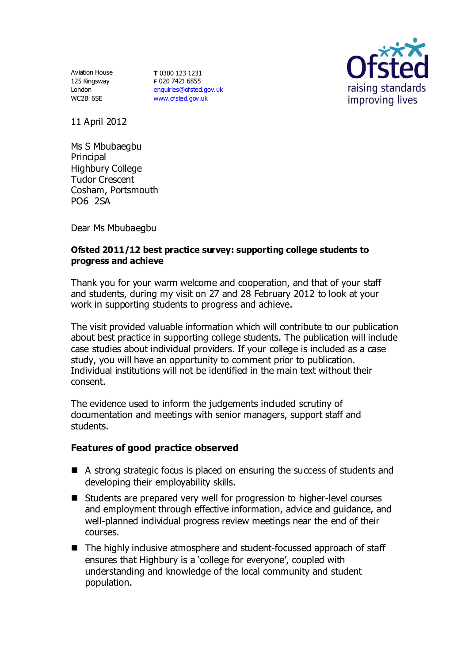Aviation House 125 Kingsway London WC2B 6SE

**T** 0300 123 1231 **F** 020 7421 6855 [enquiries@ofsted.gov.uk](mailto:enquiries@ofsted.gov.uk) [www.ofsted.gov.uk](http://www.ofsted.gov.uk/)



11 April 2012

Ms S Mbubaegbu Principal Highbury College Tudor Crescent Cosham, Portsmouth PO6 2SA

Dear Ms Mbubaegbu

## **Ofsted 2011/12 best practice survey: supporting college students to progress and achieve**

Thank you for your warm welcome and cooperation, and that of your staff and students, during my visit on 27 and 28 February 2012 to look at your work in supporting students to progress and achieve.

The visit provided valuable information which will contribute to our publication about best practice in supporting college students. The publication will include case studies about individual providers. If your college is included as a case study, you will have an opportunity to comment prior to publication. Individual institutions will not be identified in the main text without their consent.

The evidence used to inform the judgements included scrutiny of documentation and meetings with senior managers, support staff and students.

## **Features of good practice observed**

- A strong strategic focus is placed on ensuring the success of students and developing their employability skills.
- Students are prepared very well for progression to higher-level courses and employment through effective information, advice and guidance, and well-planned individual progress review meetings near the end of their courses.
- The highly inclusive atmosphere and student-focussed approach of staff ensures that Highbury is a 'college for everyone', coupled with understanding and knowledge of the local community and student population.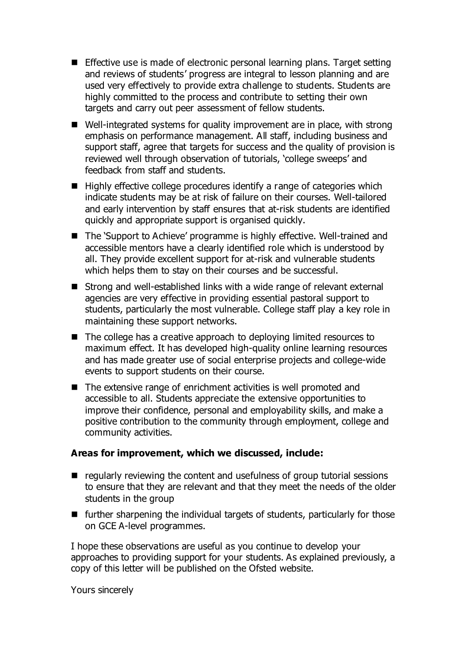- **Effective use is made of electronic personal learning plans. Target setting** and reviews of students' progress are integral to lesson planning and are used very effectively to provide extra challenge to students. Students are highly committed to the process and contribute to setting their own targets and carry out peer assessment of fellow students.
- Well-integrated systems for quality improvement are in place, with strong emphasis on performance management. All staff, including business and support staff, agree that targets for success and the quality of provision is reviewed well through observation of tutorials, 'college sweeps' and feedback from staff and students.
- $\blacksquare$  Highly effective college procedures identify a range of categories which indicate students may be at risk of failure on their courses. Well-tailored and early intervention by staff ensures that at-risk students are identified quickly and appropriate support is organised quickly.
- The 'Support to Achieve' programme is highly effective. Well-trained and accessible mentors have a clearly identified role which is understood by all. They provide excellent support for at-risk and vulnerable students which helps them to stay on their courses and be successful.
- Strong and well-established links with a wide range of relevant external agencies are very effective in providing essential pastoral support to students, particularly the most vulnerable. College staff play a key role in maintaining these support networks.
- The college has a creative approach to deploying limited resources to maximum effect. It has developed high-quality online learning resources and has made greater use of social enterprise projects and college-wide events to support students on their course.
- The extensive range of enrichment activities is well promoted and accessible to all. Students appreciate the extensive opportunities to improve their confidence, personal and employability skills, and make a positive contribution to the community through employment, college and community activities.

## **Areas for improvement, which we discussed, include:**

- $\blacksquare$  regularly reviewing the content and usefulness of group tutorial sessions to ensure that they are relevant and that they meet the needs of the older students in the group
- $\blacksquare$  further sharpening the individual targets of students, particularly for those on GCE A-level programmes.

I hope these observations are useful as you continue to develop your approaches to providing support for your students. As explained previously, a copy of this letter will be published on the Ofsted website.

Yours sincerely